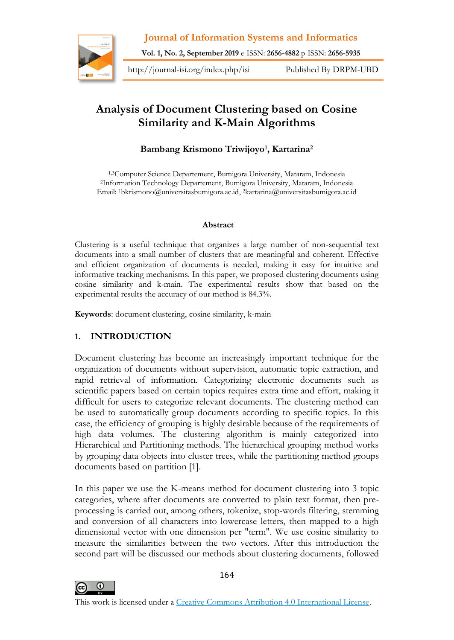

**Vol. 1, No. 2, September 2019** e-ISSN: **2656-4882** p-ISSN: **2656-5935**

http://journal-isi.org/index.php/isi Published By DRPM-UBD

# **Analysis of Document Clustering based on Cosine Similarity and K-Main Algorithms**

# **Bambang Krismono Triwijoyo<sup>1</sup> , Kartarina<sup>2</sup>**

1,3Computer Science Departement, Bumigora University, Mataram, Indonesia <sup>2</sup>Information Technology Departement, Bumigora University, Mataram, Indonesia Email: 1bkrismono@universitasbumigora.ac.id, <sup>2</sup>kartarina@universitasbumigora.ac.id

#### **Abstract**

Clustering is a useful technique that organizes a large number of non-sequential text documents into a small number of clusters that are meaningful and coherent. Effective and efficient organization of documents is needed, making it easy for intuitive and informative tracking mechanisms. In this paper, we proposed clustering documents using cosine similarity and k-main. The experimental results show that based on the experimental results the accuracy of our method is 84.3%.

**Keywords**: document clustering, cosine similarity, k-main

# **1. INTRODUCTION**

Document clustering has become an increasingly important technique for the organization of documents without supervision, automatic topic extraction, and rapid retrieval of information. Categorizing electronic documents such as scientific papers based on certain topics requires extra time and effort, making it difficult for users to categorize relevant documents. The clustering method can be used to automatically group documents according to specific topics. In this case, the efficiency of grouping is highly desirable because of the requirements of high data volumes. The clustering algorithm is mainly categorized into Hierarchical and Partitioning methods. The hierarchical grouping method works by grouping data objects into cluster trees, while the partitioning method groups documents based on partition [1].

In this paper we use the K-means method for document clustering into 3 topic categories, where after documents are converted to plain text format, then preprocessing is carried out, among others, tokenize, stop-words filtering, stemming and conversion of all characters into lowercase letters, then mapped to a high dimensional vector with one dimension per "term". We use cosine similarity to measure the similarities between the two vectors. After this introduction the second part will be discussed our methods about clustering documents, followed



164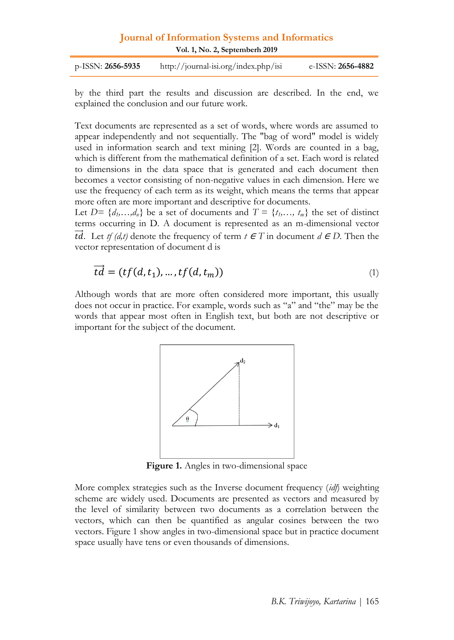| <b>Journal of Information Systems and Informatics</b><br>Vol. 1, No. 2, Septemberh 2019 |                                      |                          |
|-----------------------------------------------------------------------------------------|--------------------------------------|--------------------------|
| $p$ -ISSN: 2656-5935                                                                    | http://journal-isi.org/index.php/isi | e-ISSN: <b>2656-4882</b> |

by the third part the results and discussion are described. In the end, we explained the conclusion and our future work.

Text documents are represented as a set of words, where words are assumed to appear independently and not sequentially. The "bag of word" model is widely used in information search and text mining [2]. Words are counted in a bag, which is different from the mathematical definition of a set. Each word is related to dimensions in the data space that is generated and each document then becomes a vector consisting of non-negative values in each dimension. Here we use the frequency of each term as its weight, which means the terms that appear more often are more important and descriptive for documents.

Let  $D = \{d_1, \ldots, d_n\}$  be a set of documents and  $T = \{t_1, \ldots, t_m\}$  the set of distinct terms occurring in D. A document is represented as an m-dimensional vector *td.* Let *tf (d,t)* denote the frequency of term  $t \in T$  in document  $d \in D$ . Then the vector representation of document d is

$$
\overrightarrow{td} = (tf(d, t_1), \dots, tf(d, t_m))
$$
\n<sup>(1)</sup>

Although words that are more often considered more important, this usually does not occur in practice. For example, words such as "a" and "the" may be the words that appear most often in English text, but both are not descriptive or important for the subject of the document.



**Figure 1.** Angles in two-dimensional space

More complex strategies such as the Inverse document frequency (*idf*) weighting scheme are widely used. Documents are presented as vectors and measured by the level of similarity between two documents as a correlation between the vectors, which can then be quantified as angular cosines between the two vectors. Figure 1 show angles in two-dimensional space but in practice document space usually have tens or even thousands of dimensions.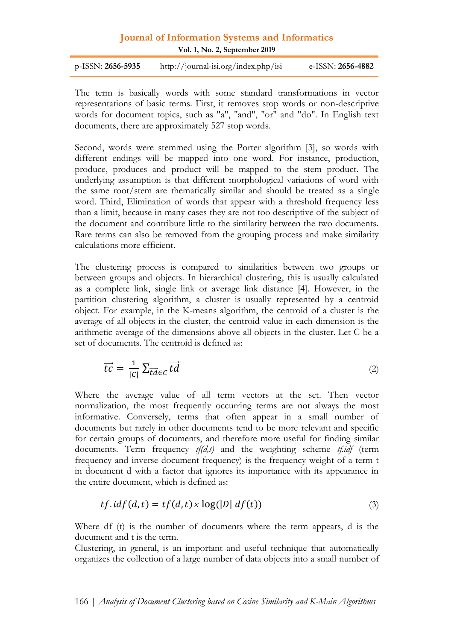p-ISSN: **2656-5935** http://journal-isi.org/index.php/isi e-ISSN: **2656-4882**

The term is basically words with some standard transformations in vector representations of basic terms. First, it removes stop words or non-descriptive words for document topics, such as "a", "and", "or" and "do". In English text documents, there are approximately 527 stop words.

Second, words were stemmed using the Porter algorithm [3], so words with different endings will be mapped into one word. For instance, production, produce, produces and product will be mapped to the stem product. The underlying assumption is that different morphological variations of word with the same root/stem are thematically similar and should be treated as a single word. Third, Elimination of words that appear with a threshold frequency less than a limit, because in many cases they are not too descriptive of the subject of the document and contribute little to the similarity between the two documents. Rare terms can also be removed from the grouping process and make similarity calculations more efficient.

The clustering process is compared to similarities between two groups or between groups and objects. In hierarchical clustering, this is usually calculated as a complete link, single link or average link distance [4]. However, in the partition clustering algorithm, a cluster is usually represented by a centroid object. For example, in the K-means algorithm, the centroid of a cluster is the average of all objects in the cluster, the centroid value in each dimension is the arithmetic average of the dimensions above all objects in the cluster. Let C be a set of documents. The centroid is defined as:

$$
\vec{tc} = \frac{1}{|c|} \sum_{\vec{td} \in c} \vec{td} \tag{2}
$$

Where the average value of all term vectors at the set. Then vector normalization, the most frequently occurring terms are not always the most informative. Conversely, terms that often appear in a small number of documents but rarely in other documents tend to be more relevant and specific for certain groups of documents, and therefore more useful for finding similar documents. Term frequency *tf(d,t)* and the weighting scheme *tf.idf* (term frequency and inverse document frequency) is the frequency weight of a term t in document d with a factor that ignores its importance with its appearance in the entire document, which is defined as:

$$
tf.idf(d, t) = tf(d, t) \times log(|D| df(t))
$$
\n(3)

Where df (t) is the number of documents where the term appears, d is the document and t is the term.

Clustering, in general, is an important and useful technique that automatically organizes the collection of a large number of data objects into a small number of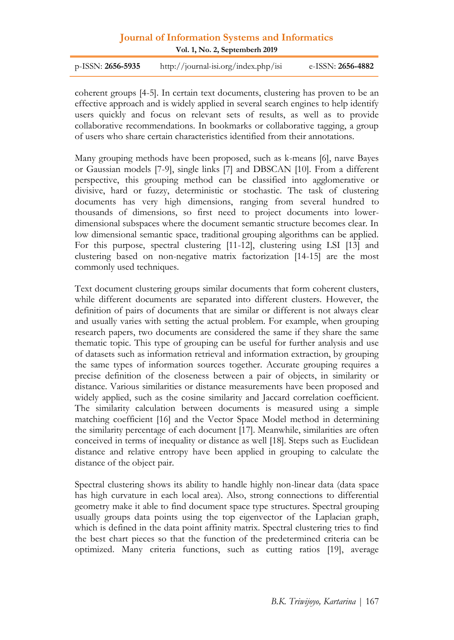**Vol. 1, No. 2, Septemberh 2019**

| e-ISSN: <b>2656-4882</b>             |
|--------------------------------------|
| http://journal-isi.org/index.php/isi |

coherent groups [4-5]. In certain text documents, clustering has proven to be an effective approach and is widely applied in several search engines to help identify users quickly and focus on relevant sets of results, as well as to provide collaborative recommendations. In bookmarks or collaborative tagging, a group of users who share certain characteristics identified from their annotations.

Many grouping methods have been proposed, such as k-means [6], naıve Bayes or Gaussian models [7-9], single links [7] and DBSCAN [10]. From a different perspective, this grouping method can be classified into agglomerative or divisive, hard or fuzzy, deterministic or stochastic. The task of clustering documents has very high dimensions, ranging from several hundred to thousands of dimensions, so first need to project documents into lowerdimensional subspaces where the document semantic structure becomes clear. In low dimensional semantic space, traditional grouping algorithms can be applied. For this purpose, spectral clustering [11-12], clustering using LSI [13] and clustering based on non-negative matrix factorization [14-15] are the most commonly used techniques.

Text document clustering groups similar documents that form coherent clusters, while different documents are separated into different clusters. However, the definition of pairs of documents that are similar or different is not always clear and usually varies with setting the actual problem. For example, when grouping research papers, two documents are considered the same if they share the same thematic topic. This type of grouping can be useful for further analysis and use of datasets such as information retrieval and information extraction, by grouping the same types of information sources together. Accurate grouping requires a precise definition of the closeness between a pair of objects, in similarity or distance. Various similarities or distance measurements have been proposed and widely applied, such as the cosine similarity and Jaccard correlation coefficient. The similarity calculation between documents is measured using a simple matching coefficient [16] and the Vector Space Model method in determining the similarity percentage of each document [17]. Meanwhile, similarities are often conceived in terms of inequality or distance as well [18]. Steps such as Euclidean distance and relative entropy have been applied in grouping to calculate the distance of the object pair.

Spectral clustering shows its ability to handle highly non-linear data (data space has high curvature in each local area). Also, strong connections to differential geometry make it able to find document space type structures. Spectral grouping usually groups data points using the top eigenvector of the Laplacian graph, which is defined in the data point affinity matrix. Spectral clustering tries to find the best chart pieces so that the function of the predetermined criteria can be optimized. Many criteria functions, such as cutting ratios [19], average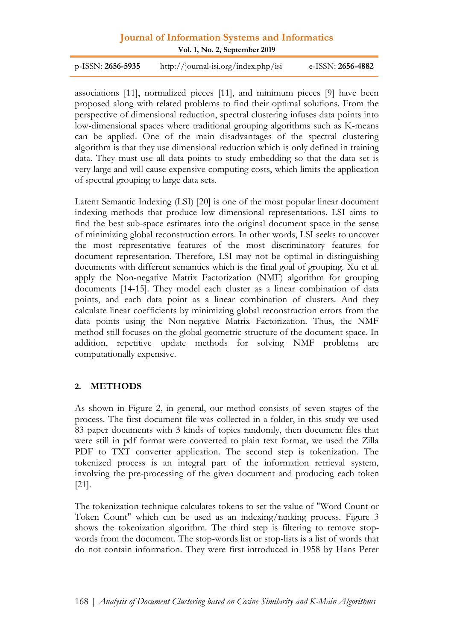p-ISSN: **2656-5935** http://journal-isi.org/index.php/isi e-ISSN: **2656-4882**

associations [11], normalized pieces [11], and minimum pieces [9] have been proposed along with related problems to find their optimal solutions. From the perspective of dimensional reduction, spectral clustering infuses data points into low-dimensional spaces where traditional grouping algorithms such as K-means can be applied. One of the main disadvantages of the spectral clustering algorithm is that they use dimensional reduction which is only defined in training data. They must use all data points to study embedding so that the data set is very large and will cause expensive computing costs, which limits the application of spectral grouping to large data sets.

Latent Semantic Indexing (LSI) [20] is one of the most popular linear document indexing methods that produce low dimensional representations. LSI aims to find the best sub-space estimates into the original document space in the sense of minimizing global reconstruction errors. In other words, LSI seeks to uncover the most representative features of the most discriminatory features for document representation. Therefore, LSI may not be optimal in distinguishing documents with different semantics which is the final goal of grouping. Xu et al. apply the Non-negative Matrix Factorization (NMF) algorithm for grouping documents [14-15]. They model each cluster as a linear combination of data points, and each data point as a linear combination of clusters. And they calculate linear coefficients by minimizing global reconstruction errors from the data points using the Non-negative Matrix Factorization. Thus, the NMF method still focuses on the global geometric structure of the document space. In addition, repetitive update methods for solving NMF problems are computationally expensive.

#### **2. METHODS**

As shown in Figure 2, in general, our method consists of seven stages of the process. The first document file was collected in a folder, in this study we used 83 paper documents with 3 kinds of topics randomly, then document files that were still in pdf format were converted to plain text format, we used the Zilla PDF to TXT converter application. The second step is tokenization. The tokenized process is an integral part of the information retrieval system, involving the pre-processing of the given document and producing each token [21].

The tokenization technique calculates tokens to set the value of "Word Count or Token Count" which can be used as an indexing/ranking process. Figure 3 shows the tokenization algorithm. The third step is filtering to remove stopwords from the document. The stop-words list or stop-lists is a list of words that do not contain information. They were first introduced in 1958 by Hans Peter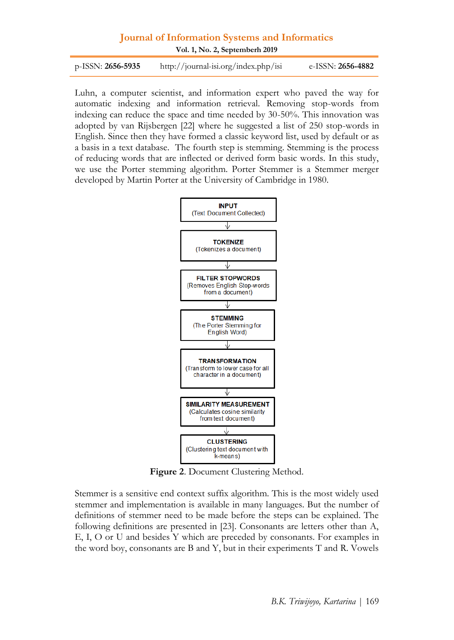**Vol. 1, No. 2, Septemberh 2019**

| $p$ -ISSN: <b>2656-5935</b> | http://journal-isi.org/index.php/isi | e-ISSN: <b>2656-4882</b> |
|-----------------------------|--------------------------------------|--------------------------|
|-----------------------------|--------------------------------------|--------------------------|

Luhn, a computer scientist, and information expert who paved the way for automatic indexing and information retrieval. Removing stop-words from indexing can reduce the space and time needed by 30-50%. This innovation was adopted by van Rijsbergen [22] where he suggested a list of 250 stop-words in English. Since then they have formed a classic keyword list, used by default or as a basis in a text database. The fourth step is stemming. Stemming is the process of reducing words that are inflected or derived form basic words. In this study, we use the Porter stemming algorithm. Porter Stemmer is a Stemmer merger developed by Martin Porter at the University of Cambridge in 1980.



**Figure 2**. Document Clustering Method.

Stemmer is a sensitive end context suffix algorithm. This is the most widely used stemmer and implementation is available in many languages. But the number of definitions of stemmer need to be made before the steps can be explained. The following definitions are presented in [23]. Consonants are letters other than A, E, I, O or U and besides Y which are preceded by consonants. For examples in the word boy, consonants are B and Y, but in their experiments T and R. Vowels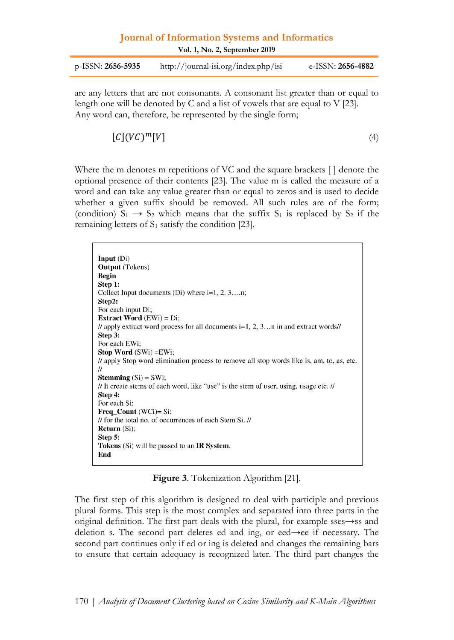| p-ISSN: 2656-5935 | http://journal-isi.org/index.php/isi | e-ISSN: <b>2656-4882</b> |
|-------------------|--------------------------------------|--------------------------|
|                   |                                      |                          |

are any letters that are not consonants. A consonant list greater than or equal to length one will be denoted by C and a list of vowels that are equal to V [23]. Any word can, therefore, be represented by the single form;

$$
[C](VC)^m[V] \tag{4}
$$

Where the m denotes m repetitions of VC and the square brackets [ ] denote the optional presence of their contents [23]. The value m is called the measure of a word and can take any value greater than or equal to zeros and is used to decide whether a given suffix should be removed. All such rules are of the form; (condition)  $S_1 \rightarrow S_2$  which means that the suffix  $S_1$  is replaced by  $S_2$  if the remaining letters of  $S_1$  satisfy the condition [23].

| <b>Input</b> $(Di)$                                                                       |
|-------------------------------------------------------------------------------------------|
| <b>Output</b> (Tokens)                                                                    |
| <b>Begin</b>                                                                              |
| Step 1:                                                                                   |
| Collect Input documents (Di) where $i=1, 2, 3, \ldots n$ ;                                |
| Step2:                                                                                    |
| For each input Di;                                                                        |
| <b>Extract Word</b> $(EWi) = Di$ ;                                                        |
| // apply extract word process for all documents $i=1, 2, 3$ in and extract words//        |
| Step 3:                                                                                   |
| For each EWi:                                                                             |
| <b>Stop Word</b> $(SWi) = EWi$ ;                                                          |
| // apply Stop word elimination process to remove all stop words like is, am, to, as, etc. |
| $^{\prime\prime}$                                                                         |
| <b>Stemming</b> $(Si) = SWi$ ;                                                            |
| // It create stems of each word, like "use" is the stem of user, using, usage etc. //     |
| Step 4:                                                                                   |
| For each Si;                                                                              |
| <b>Freq Count</b> (WCi)= Si;                                                              |
| // for the total no. of occurrences of each Stem Si. //                                   |
| <b>Return</b> $(Si)$ ;                                                                    |
| Step 5:                                                                                   |
| <b>Tokens</b> (Si) will be passed to an <b>IR System</b> .                                |
| End                                                                                       |
|                                                                                           |

**Figure 3**. Tokenization Algorithm [21].

The first step of this algorithm is designed to deal with participle and previous plural forms. This step is the most complex and separated into three parts in the original definition. The first part deals with the plural, for example sses→ss and deletion s. The second part deletes ed and ing, or eed→ee if necessary. The second part continues only if ed or ing is deleted and changes the remaining bars to ensure that certain adequacy is recognized later. The third part changes the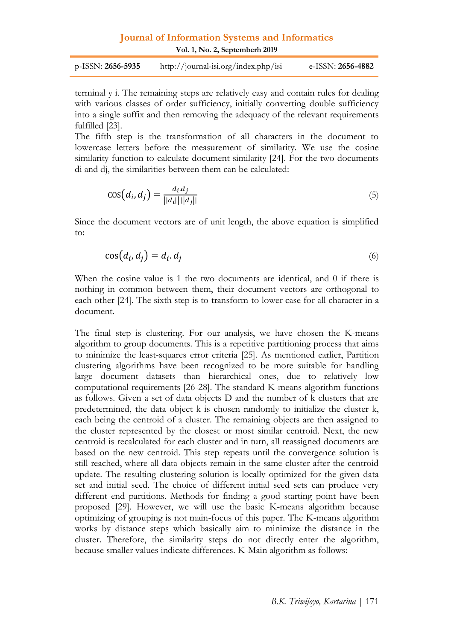**Vol. 1, No. 2, Septemberh 2019**

| p-ISSN: 2656-5935 | http://journal-isi.org/index.php/isi | e-ISSN: <b>2656-4882</b> |
|-------------------|--------------------------------------|--------------------------|
|-------------------|--------------------------------------|--------------------------|

terminal y i. The remaining steps are relatively easy and contain rules for dealing with various classes of order sufficiency, initially converting double sufficiency into a single suffix and then removing the adequacy of the relevant requirements fulfilled [23].

The fifth step is the transformation of all characters in the document to lowercase letters before the measurement of similarity. We use the cosine similarity function to calculate document similarity [24]. For the two documents di and dj, the similarities between them can be calculated:

$$
\cos(d_i, d_j) = \frac{d_i d_j}{||d_i|| ||d_j||} \tag{5}
$$

Since the document vectors are of unit length, the above equation is simplified to:

$$
\cos(d_i, d_j) = d_i \cdot d_j \tag{6}
$$

When the cosine value is 1 the two documents are identical, and 0 if there is nothing in common between them, their document vectors are orthogonal to each other [24]. The sixth step is to transform to lower case for all character in a document.

The final step is clustering. For our analysis, we have chosen the K-means algorithm to group documents. This is a repetitive partitioning process that aims to minimize the least-squares error criteria [25]. As mentioned earlier, Partition clustering algorithms have been recognized to be more suitable for handling large document datasets than hierarchical ones, due to relatively low computational requirements [26-28]. The standard K-means algorithm functions as follows. Given a set of data objects D and the number of k clusters that are predetermined, the data object k is chosen randomly to initialize the cluster k, each being the centroid of a cluster. The remaining objects are then assigned to the cluster represented by the closest or most similar centroid. Next, the new centroid is recalculated for each cluster and in turn, all reassigned documents are based on the new centroid. This step repeats until the convergence solution is still reached, where all data objects remain in the same cluster after the centroid update. The resulting clustering solution is locally optimized for the given data set and initial seed. The choice of different initial seed sets can produce very different end partitions. Methods for finding a good starting point have been proposed [29]. However, we will use the basic K-means algorithm because optimizing of grouping is not main-focus of this paper. The K-means algorithm works by distance steps which basically aim to minimize the distance in the cluster. Therefore, the similarity steps do not directly enter the algorithm, because smaller values indicate differences. K-Main algorithm as follows: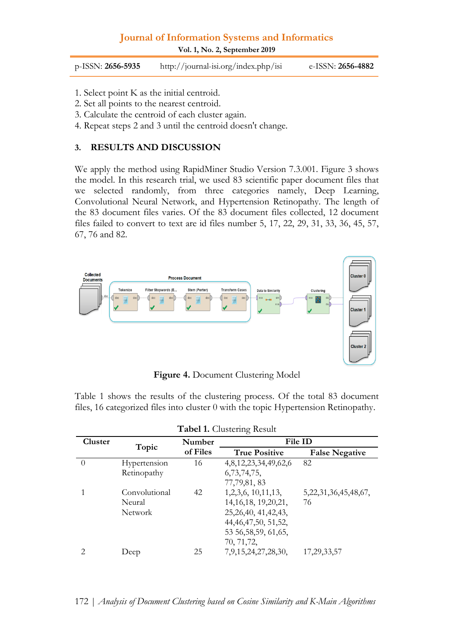**Vol. 1, No. 2, September 2019**

| $p$ -ISSN: 2656-5935 | http://journal-isi.org/index.php/isi | e-ISSN: <b>2656-4882</b> |
|----------------------|--------------------------------------|--------------------------|
|----------------------|--------------------------------------|--------------------------|

- 1. Select point K as the initial centroid.
- 2. Set all points to the nearest centroid.
- 3. Calculate the centroid of each cluster again.
- 4. Repeat steps 2 and 3 until the centroid doesn't change.

#### **3. RESULTS AND DISCUSSION**

We apply the method using RapidMiner Studio Version 7.3.001. Figure 3 shows the model. In this research trial, we used 83 scientific paper document files that we selected randomly, from three categories namely, Deep Learning, Convolutional Neural Network, and Hypertension Retinopathy. The length of the 83 document files varies. Of the 83 document files collected, 12 document files failed to convert to text are id files number 5, 17, 22, 29, 31, 33, 36, 45, 57, 67, 76 and 82.



**Figure 4.** Document Clustering Model

Table 1 shows the results of the clustering process. Of the total 83 document files, 16 categorized files into cluster 0 with the topic Hypertension Retinopathy.

| <b>Tabel 1.</b> Clusteling Result |          |                         |                            |
|-----------------------------------|----------|-------------------------|----------------------------|
|                                   | Number   | File ID                 |                            |
|                                   | of Files | <b>True Positive</b>    | <b>False Negative</b>      |
| Hypertension                      | 16       | 4,8,12,23,34,49,62,6    | 82                         |
| Retinopathy                       |          | 6, 73, 74, 75,          |                            |
|                                   |          | 77,79,81,83             |                            |
| Convolutional                     | 42       | 1, 2, 3, 6, 10, 11, 13, | 5, 22, 31, 36, 45, 48, 67, |
| Neural                            |          | 14, 16, 18, 19, 20, 21, | 76                         |
| Network                           |          | 25, 26, 40, 41, 42, 43, |                            |
|                                   |          | 44, 46, 47, 50, 51, 52, |                            |
|                                   |          | 53 56, 58, 59, 61, 65,  |                            |
|                                   |          | 70, 71, 72,             |                            |
| Deep                              | 25       | 7,9,15,24,27,28,30,     | 17, 29, 33, 57             |
|                                   | Topic    |                         |                            |

| Tabel 1. Clustering Result |  |  |  |
|----------------------------|--|--|--|
|----------------------------|--|--|--|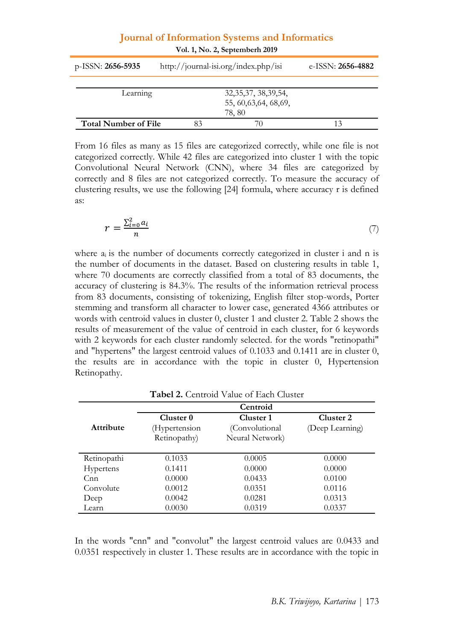| $p$ -ISSN: 2656-5935        | http://journal-isi.org/index.php/isi | e-ISSN: 2656-4882 |
|-----------------------------|--------------------------------------|-------------------|
|                             |                                      |                   |
| Learning                    | 32, 35, 37, 38, 39, 54,              |                   |
|                             | 55, 60, 63, 64, 68, 69,              |                   |
|                             | 78.80                                |                   |
| <b>Total Number of File</b> | 83                                   |                   |

From 16 files as many as 15 files are categorized correctly, while one file is not categorized correctly. While 42 files are categorized into cluster 1 with the topic Convolutional Neural Network (CNN), where 34 files are categorized by correctly and 8 files are not categorized correctly. To measure the accuracy of clustering results, we use the following [24] formula, where accuracy r is defined as:

$$
r = \frac{\sum_{i=0}^{2} a_i}{n} \tag{7}
$$

where  $a_i$  is the number of documents correctly categorized in cluster i and n is the number of documents in the dataset. Based on clustering results in table 1, where 70 documents are correctly classified from a total of 83 documents, the accuracy of clustering is 84.3%. The results of the information retrieval process from 83 documents, consisting of tokenizing, English filter stop-words, Porter stemming and transform all character to lower case, generated 4366 attributes or words with centroid values in cluster 0, cluster 1 and cluster 2. Table 2 shows the results of measurement of the value of centroid in each cluster, for 6 keywords with 2 keywords for each cluster randomly selected. for the words "retinopathi" and "hypertens" the largest centroid values of 0.1033 and 0.1411 are in cluster 0, the results are in accordance with the topic in cluster 0, Hypertension Retinopathy.

|                  |                                       | Centroid                     |                              |
|------------------|---------------------------------------|------------------------------|------------------------------|
| <b>Attribute</b> | Cluster <sub>0</sub><br>(Hypertension | Cluster 1<br>(Convolutional) | Cluster 2<br>(Deep Learning) |
|                  | Retinopathy)                          | Neural Network)              |                              |
| Retinopathi      | 0.1033                                | 0.0005                       | 0.0000                       |
| <b>Hypertens</b> | 0.1411                                | 0.0000                       | 0.0000                       |
| C <sub>nn</sub>  | 0.0000                                | 0.0433                       | 0.0100                       |
| Convolute        | 0.0012                                | 0.0351                       | 0.0116                       |
| Deep             | 0.0042                                | 0.0281                       | 0.0313                       |
| Learn            | 0.0030                                | 0.0319                       | 0.0337                       |

**Tabel 2.** Centroid Value of Each Cluster

In the words "cnn" and "convolut" the largest centroid values are 0.0433 and 0.0351 respectively in cluster 1. These results are in accordance with the topic in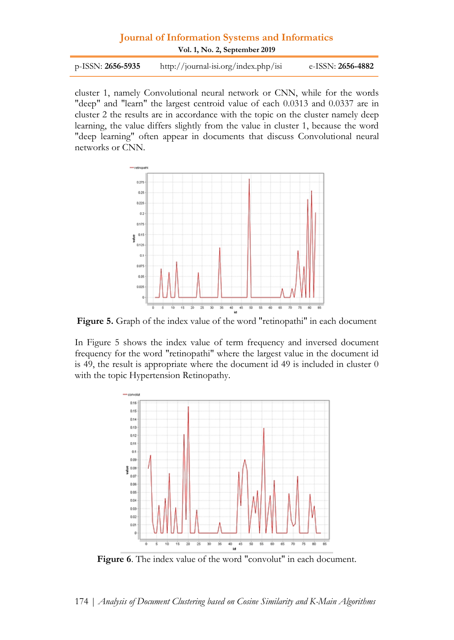| $p$ -ISSN: 2656-5935 | http://journal-isi.org/index.php/isi | e-ISSN: <b>2656-4882</b> |
|----------------------|--------------------------------------|--------------------------|
|                      |                                      |                          |

cluster 1, namely Convolutional neural network or CNN, while for the words "deep" and "learn" the largest centroid value of each 0.0313 and 0.0337 are in cluster 2 the results are in accordance with the topic on the cluster namely deep learning, the value differs slightly from the value in cluster 1, because the word "deep learning" often appear in documents that discuss Convolutional neural networks or CNN.



**Figure 5.** Graph of the index value of the word "retinopathi" in each document

In Figure 5 shows the index value of term frequency and inversed document frequency for the word "retinopathi" where the largest value in the document id is 49, the result is appropriate where the document id 49 is included in cluster 0 with the topic Hypertension Retinopathy.



**Figure 6**. The index value of the word "convolut" in each document.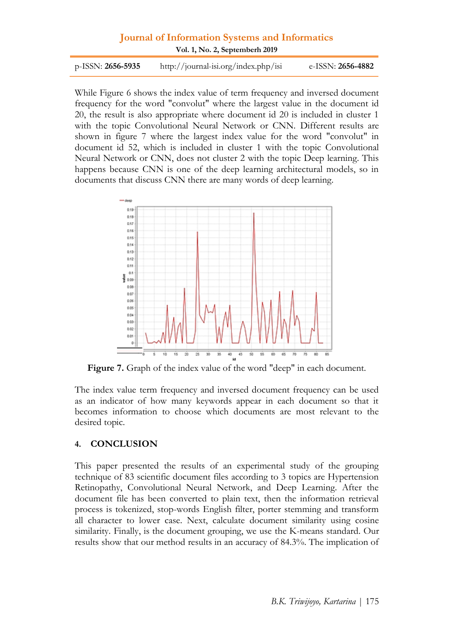| $p$ -ISSN: 2656-5935 | http://journal-isi.org/index.php/isi | e-ISSN: <b>2656-4882</b> |
|----------------------|--------------------------------------|--------------------------|
|                      |                                      |                          |

While Figure 6 shows the index value of term frequency and inversed document frequency for the word "convolut" where the largest value in the document id 20, the result is also appropriate where document id 20 is included in cluster 1 with the topic Convolutional Neural Network or CNN. Different results are shown in figure 7 where the largest index value for the word "convolut" in document id 52, which is included in cluster 1 with the topic Convolutional Neural Network or CNN, does not cluster 2 with the topic Deep learning. This happens because CNN is one of the deep learning architectural models, so in documents that discuss CNN there are many words of deep learning.



**Figure 7.** Graph of the index value of the word "deep" in each document.

The index value term frequency and inversed document frequency can be used as an indicator of how many keywords appear in each document so that it becomes information to choose which documents are most relevant to the desired topic.

#### **4. CONCLUSION**

This paper presented the results of an experimental study of the grouping technique of 83 scientific document files according to 3 topics are Hypertension Retinopathy, Convolutional Neural Network, and Deep Learning. After the document file has been converted to plain text, then the information retrieval process is tokenized, stop-words English filter, porter stemming and transform all character to lower case. Next, calculate document similarity using cosine similarity. Finally, is the document grouping, we use the K-means standard. Our results show that our method results in an accuracy of 84.3%. The implication of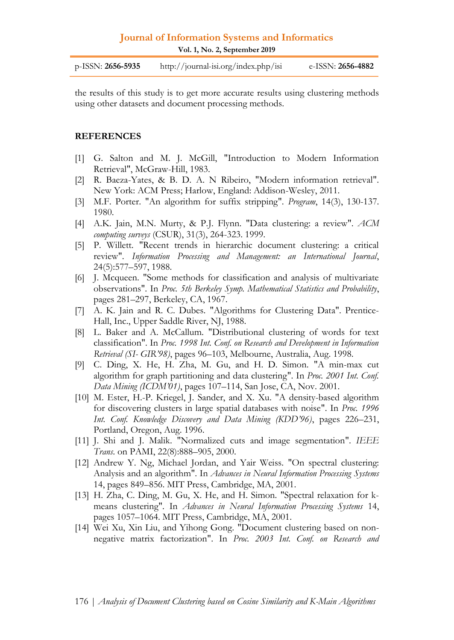**Vol. 1, No. 2, September 2019**

| $p$ -ISSN: <b>2656-5935</b> | http://journal-isi.org/index.php/isi | e-ISSN: <b>2656-4882</b> |
|-----------------------------|--------------------------------------|--------------------------|
|                             |                                      |                          |

the results of this study is to get more accurate results using clustering methods using other datasets and document processing methods.

#### **REFERENCES**

- [1] G. Salton and M. J. McGill, "Introduction to Modern Information Retrieval", McGraw-Hill, 1983.
- [2] R. Baeza-Yates, & B. D. A. N Ribeiro, "Modern information retrieval". New York: ACM Press; Harlow, England: Addison-Wesley, 2011.
- [3] M.F. Porter. "An algorithm for suffix stripping". *Program*, 14(3), 130-137. 1980.
- [4] A.K. Jain, M.N. Murty, & P.J. Flynn. "Data clustering: a review". *ACM computing surveys* (CSUR), 31(3), 264-323. 1999.
- [5] P. Willett. "Recent trends in hierarchic document clustering: a critical review". *Information Processing and Management: an International Journal*, 24(5):577–597, 1988.
- [6] J. Mcqueen. "Some methods for classification and analysis of multivariate observations". In *Proc. 5th Berkeley Symp. Mathematical Statistics and Probability*, pages 281–297, Berkeley, CA, 1967.
- [7] A. K. Jain and R. C. Dubes. "Algorithms for Clustering Data". Prentice-Hall, Inc., Upper Saddle River, NJ, 1988.
- [8] L. Baker and A. McCallum. "Distributional clustering of words for text classification". In *Proc. 1998 Int. Conf. on Research and Development in Information Retrieval (SI- GIR'98)*, pages 96–103, Melbourne, Australia, Aug. 1998.
- [9] C. Ding, X. He, H. Zha, M. Gu, and H. D. Simon. "A min-max cut algorithm for graph partitioning and data clustering". In *Proc. 2001 Int. Conf. Data Mining (ICDM'01)*, pages 107–114, San Jose, CA, Nov. 2001.
- [10] M. Ester, H.-P. Kriegel, J. Sander, and X. Xu. "A density-based algorithm for discovering clusters in large spatial databases with noise". In *Proc. 1996 Int. Conf. Knowledge Discovery and Data Mining (KDD'96)*, pages 226–231, Portland, Oregon, Aug. 1996.
- [11] J. Shi and J. Malik. "Normalized cuts and image segmentation". *IEEE Trans*. on PAMI, 22(8):888–905, 2000.
- [12] Andrew Y. Ng, Michael Jordan, and Yair Weiss. "On spectral clustering: Analysis and an algorithm". In *Advances in Neural Information Processing Systems* 14, pages 849–856. MIT Press, Cambridge, MA, 2001.
- [13] H. Zha, C. Ding, M. Gu, X. He, and H. Simon. "Spectral relaxation for kmeans clustering". In *Advances in Neural Information Processing Systems* 14, pages 1057–1064. MIT Press, Cambridge, MA, 2001.
- [14] Wei Xu, Xin Liu, and Yihong Gong. "Document clustering based on nonnegative matrix factorization". In *Proc. 2003 Int. Conf. on Research and*